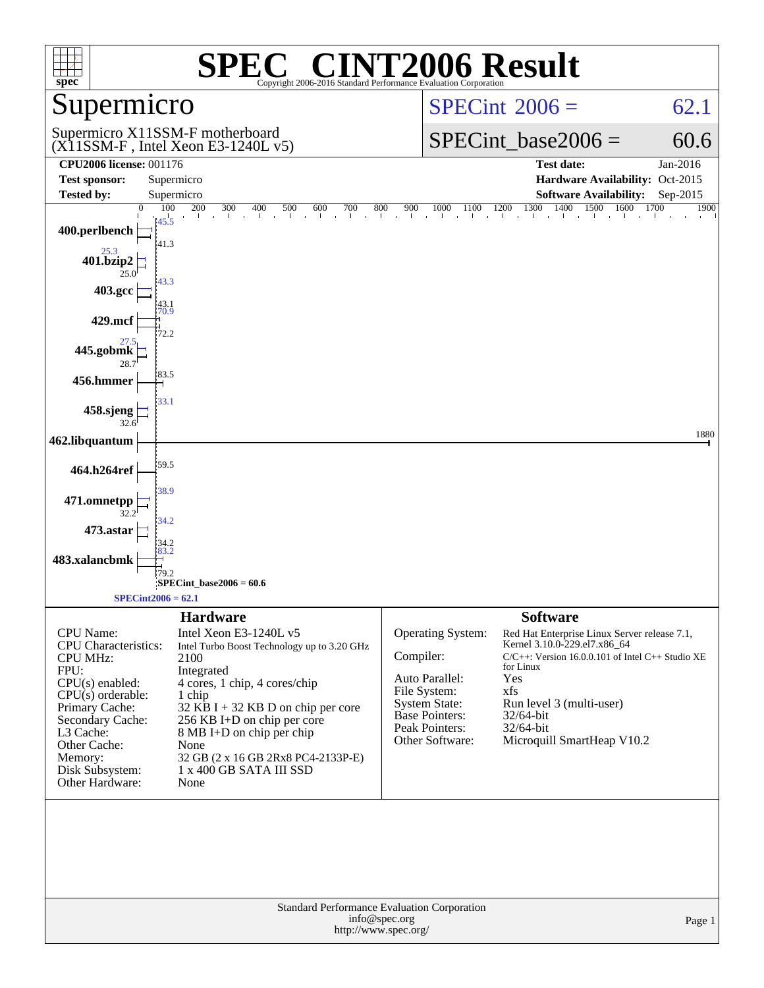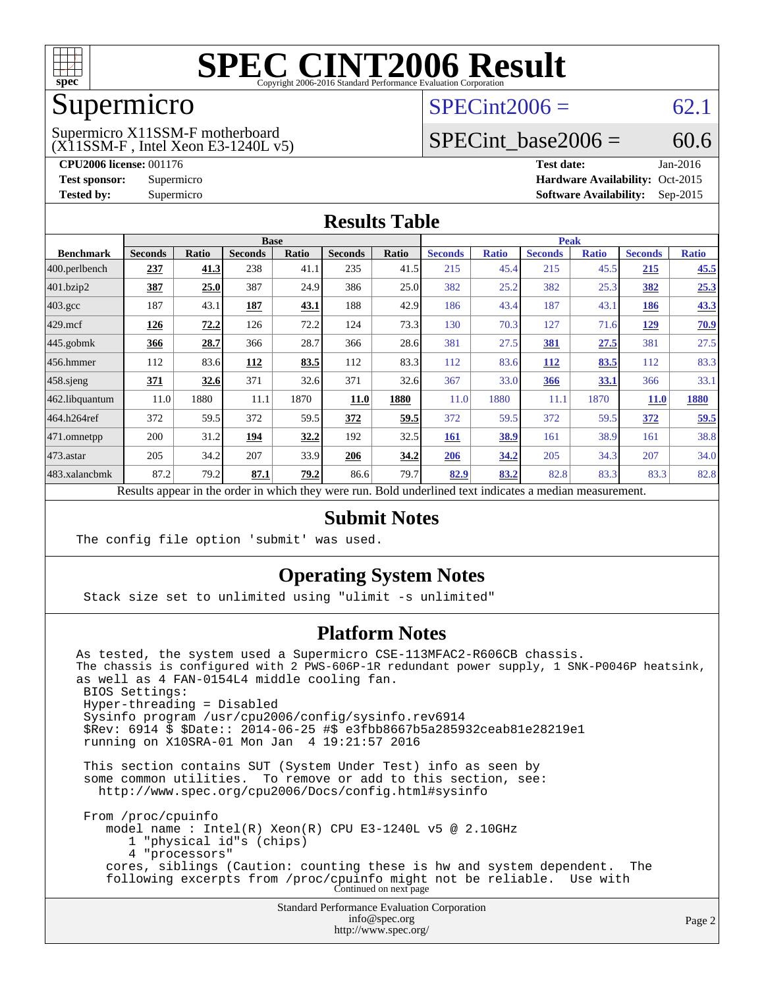

### Supermicro

### $SPECint2006 = 62.1$  $SPECint2006 = 62.1$

(X11SSM-F , Intel Xeon E3-1240L v5) Supermicro X11SSM-F motherboard

SPECint base2006 =  $60.6$ 

**[CPU2006 license:](http://www.spec.org/auto/cpu2006/Docs/result-fields.html#CPU2006license)** 001176 **[Test date:](http://www.spec.org/auto/cpu2006/Docs/result-fields.html#Testdate)** Jan-2016 **[Test sponsor:](http://www.spec.org/auto/cpu2006/Docs/result-fields.html#Testsponsor)** Supermicro Supermicro **[Hardware Availability:](http://www.spec.org/auto/cpu2006/Docs/result-fields.html#HardwareAvailability)** Oct-2015 **[Tested by:](http://www.spec.org/auto/cpu2006/Docs/result-fields.html#Testedby)** Supermicro **Supermicro [Software Availability:](http://www.spec.org/auto/cpu2006/Docs/result-fields.html#SoftwareAvailability)** Sep-2015

### **[Results Table](http://www.spec.org/auto/cpu2006/Docs/result-fields.html#ResultsTable)**

|                    | <b>Base</b>    |              |                |              |                |              | <b>Peak</b>    |              |                |              |                |              |
|--------------------|----------------|--------------|----------------|--------------|----------------|--------------|----------------|--------------|----------------|--------------|----------------|--------------|
| <b>Benchmark</b>   | <b>Seconds</b> | <b>Ratio</b> | <b>Seconds</b> | <b>Ratio</b> | <b>Seconds</b> | <b>Ratio</b> | <b>Seconds</b> | <b>Ratio</b> | <b>Seconds</b> | <b>Ratio</b> | <b>Seconds</b> | <b>Ratio</b> |
| 400.perlbench      | 237            | 41.3         | 238            | 41.1         | 235            | 41.5         | 215            | 45.4         | 215            | 45.5         | 215            | 45.5         |
| 401.bzip2          | 387            | 25.0         | 387            | 24.9         | 386            | 25.0         | 382            | 25.2         | 382            | 25.3         | 382            | 25.3         |
| $403.\mathrm{gcc}$ | 187            | 43.1         | 187            | 43.1         | 188            | 42.9         | 186            | 43.4         | 187            | 43.1         | 186            | 43.3         |
| $429$ .mcf         | 126            | 72.2         | 126            | 72.2         | 124            | 73.3         | 130            | 70.3         | 127            | 71.6         | <u>129</u>     | 70.9         |
| $445$ .gobmk       | 366            | 28.7         | 366            | 28.7         | 366            | 28.6         | 381            | 27.5         | 381            | 27.5         | 381            | 27.5         |
| $456.$ hmmer       | 112            | 83.6         | 112            | 83.5         | 112            | 83.3         | 112            | 83.6         | <b>112</b>     | 83.5         | 112            | 83.3         |
| $458$ .sjeng       | 371            | 32.6         | 371            | 32.6         | 371            | 32.6         | 367            | 33.0         | 366            | 33.1         | 366            | 33.1         |
| 462.libquantum     | 11.0           | 1880         | 11.1           | 1870         | 11.0           | 1880         | 11.0           | 1880         | 11.1           | 1870         | <b>11.0</b>    | 1880         |
| 464.h264ref        | 372            | 59.5         | 372            | 59.5         | 372            | 59.5         | 372            | 59.5         | 372            | 59.5         | 372            | 59.5         |
| $471$ .omnetpp     | 200            | 31.2         | 194            | 32.2         | 192            | 32.5         | <b>161</b>     | 38.9         | 161            | 38.9         | 161            | 38.8         |
| $473.$ astar       | 205            | 34.2         | 207            | 33.9         | 206            | 34.2         | 206            | 34.2         | 205            | 34.3         | 207            | 34.0         |
| 483.xalancbmk      | 87.2           | 79.2         | 87.1           | 79.2         | 86.6           | 79.7         | 82.9           | 83.2         | 82.8           | 83.3         | 83.3           | 82.8         |

Results appear in the [order in which they were run.](http://www.spec.org/auto/cpu2006/Docs/result-fields.html#RunOrder) Bold underlined text [indicates a median measurement.](http://www.spec.org/auto/cpu2006/Docs/result-fields.html#Median)

### **[Submit Notes](http://www.spec.org/auto/cpu2006/Docs/result-fields.html#SubmitNotes)**

The config file option 'submit' was used.

### **[Operating System Notes](http://www.spec.org/auto/cpu2006/Docs/result-fields.html#OperatingSystemNotes)**

Stack size set to unlimited using "ulimit -s unlimited"

### **[Platform Notes](http://www.spec.org/auto/cpu2006/Docs/result-fields.html#PlatformNotes)**

Standard Performance Evaluation Corporation As tested, the system used a Supermicro CSE-113MFAC2-R606CB chassis. The chassis is configured with 2 PWS-606P-1R redundant power supply, 1 SNK-P0046P heatsink, as well as 4 FAN-0154L4 middle cooling fan. BIOS Settings: Hyper-threading = Disabled Sysinfo program /usr/cpu2006/config/sysinfo.rev6914 \$Rev: 6914 \$ \$Date:: 2014-06-25 #\$ e3fbb8667b5a285932ceab81e28219e1 running on X10SRA-01 Mon Jan 4 19:21:57 2016 This section contains SUT (System Under Test) info as seen by some common utilities. To remove or add to this section, see: <http://www.spec.org/cpu2006/Docs/config.html#sysinfo> From /proc/cpuinfo model name : Intel(R) Xeon(R) CPU E3-1240L v5 @ 2.10GHz 1 "physical id"s (chips) 4 "processors" cores, siblings (Caution: counting these is hw and system dependent. The following excerpts from /proc/cpuinfo might not be reliable. Use with Continued on next page

[info@spec.org](mailto:info@spec.org) <http://www.spec.org/>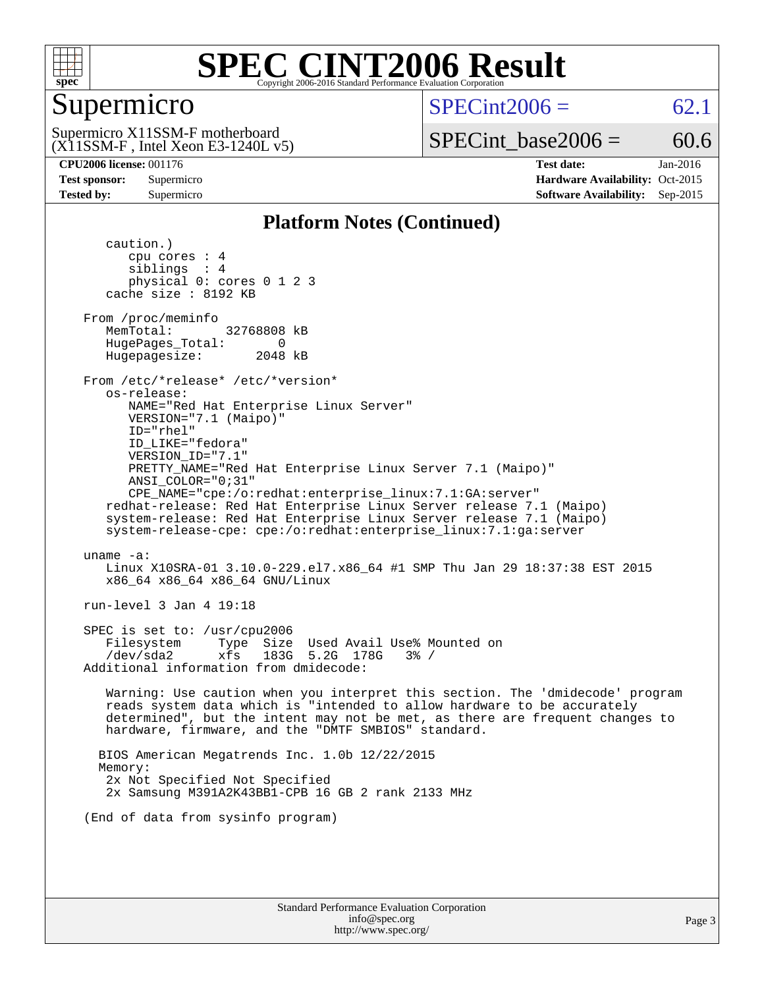

## Supermicro

 $SPECint2006 = 62.1$  $SPECint2006 = 62.1$ 

(X11SSM-F , Intel Xeon E3-1240L v5) Supermicro X11SSM-F motherboard

SPECint base2006 =  $60.6$ 

**[CPU2006 license:](http://www.spec.org/auto/cpu2006/Docs/result-fields.html#CPU2006license)** 001176 **[Test date:](http://www.spec.org/auto/cpu2006/Docs/result-fields.html#Testdate)** Jan-2016 **[Test sponsor:](http://www.spec.org/auto/cpu2006/Docs/result-fields.html#Testsponsor)** Supermicro Supermicro **[Hardware Availability:](http://www.spec.org/auto/cpu2006/Docs/result-fields.html#HardwareAvailability)** Oct-2015 **[Tested by:](http://www.spec.org/auto/cpu2006/Docs/result-fields.html#Testedby)** Supermicro **Supermicro [Software Availability:](http://www.spec.org/auto/cpu2006/Docs/result-fields.html#SoftwareAvailability)** Sep-2015

### **[Platform Notes \(Continued\)](http://www.spec.org/auto/cpu2006/Docs/result-fields.html#PlatformNotes)**

 caution.) cpu cores : 4 siblings : 4 physical 0: cores 0 1 2 3 cache size : 8192 KB From /proc/meminfo MemTotal: 32768808 kB HugePages\_Total: 0<br>Hugepagesize: 2048 kB Hugepagesize: From /etc/\*release\* /etc/\*version\* os-release: NAME="Red Hat Enterprise Linux Server" VERSION="7.1 (Maipo)" ID="rhel" ID\_LIKE="fedora" VERSION\_ID="7.1" PRETTY\_NAME="Red Hat Enterprise Linux Server 7.1 (Maipo)" ANSI\_COLOR="0;31" CPE\_NAME="cpe:/o:redhat:enterprise\_linux:7.1:GA:server" redhat-release: Red Hat Enterprise Linux Server release 7.1 (Maipo) system-release: Red Hat Enterprise Linux Server release 7.1 (Maipo) system-release-cpe: cpe:/o:redhat:enterprise\_linux:7.1:ga:server uname -a: Linux X10SRA-01 3.10.0-229.el7.x86\_64 #1 SMP Thu Jan 29 18:37:38 EST 2015 x86\_64 x86\_64 x86\_64 GNU/Linux run-level 3 Jan 4 19:18 SPEC is set to: /usr/cpu2006 Filesystem Type Size Used Avail Use% Mounted on /dev/sda2 xfs 183G 5.2G 178G 3% / Additional information from dmidecode: Warning: Use caution when you interpret this section. The 'dmidecode' program reads system data which is "intended to allow hardware to be accurately determined", but the intent may not be met, as there are frequent changes to hardware, firmware, and the "DMTF SMBIOS" standard. BIOS American Megatrends Inc. 1.0b 12/22/2015 Memory: 2x Not Specified Not Specified 2x Samsung M391A2K43BB1-CPB 16 GB 2 rank 2133 MHz (End of data from sysinfo program)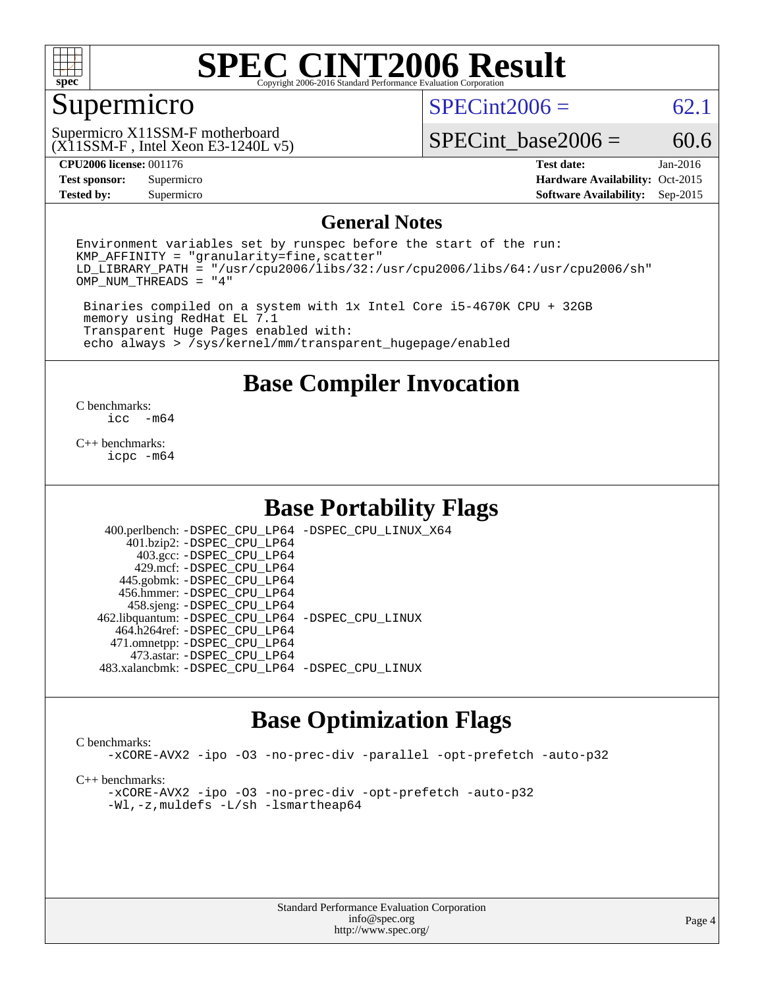

### Supermicro

 $SPECint2006 = 62.1$  $SPECint2006 = 62.1$ 

(X11SSM-F , Intel Xeon E3-1240L v5) Supermicro X11SSM-F motherboard

SPECint base2006 =  $60.6$ 

**[Tested by:](http://www.spec.org/auto/cpu2006/Docs/result-fields.html#Testedby)** Supermicro **Supermicro [Software Availability:](http://www.spec.org/auto/cpu2006/Docs/result-fields.html#SoftwareAvailability)** Sep-2015

**[CPU2006 license:](http://www.spec.org/auto/cpu2006/Docs/result-fields.html#CPU2006license)** 001176 **[Test date:](http://www.spec.org/auto/cpu2006/Docs/result-fields.html#Testdate)** Jan-2016 **[Test sponsor:](http://www.spec.org/auto/cpu2006/Docs/result-fields.html#Testsponsor)** Supermicro Supermicro **[Hardware Availability:](http://www.spec.org/auto/cpu2006/Docs/result-fields.html#HardwareAvailability)** Oct-2015

### **[General Notes](http://www.spec.org/auto/cpu2006/Docs/result-fields.html#GeneralNotes)**

Environment variables set by runspec before the start of the run:  $KMP$  AFFINITY = "granularity=fine, scatter" LD\_LIBRARY\_PATH = "/usr/cpu2006/libs/32:/usr/cpu2006/libs/64:/usr/cpu2006/sh" OMP\_NUM\_THREADS = "4"

 Binaries compiled on a system with 1x Intel Core i5-4670K CPU + 32GB memory using RedHat EL 7.1 Transparent Huge Pages enabled with: echo always > /sys/kernel/mm/transparent\_hugepage/enabled

**[Base Compiler Invocation](http://www.spec.org/auto/cpu2006/Docs/result-fields.html#BaseCompilerInvocation)**

 $\frac{C \text{ benchmarks:}}{C \text{ C}}$ -m64

[C++ benchmarks:](http://www.spec.org/auto/cpu2006/Docs/result-fields.html#CXXbenchmarks) [icpc -m64](http://www.spec.org/cpu2006/results/res2016q1/cpu2006-20160106-38564.flags.html#user_CXXbase_intel_icpc_64bit_fc66a5337ce925472a5c54ad6a0de310)

### **[Base Portability Flags](http://www.spec.org/auto/cpu2006/Docs/result-fields.html#BasePortabilityFlags)**

 400.perlbench: [-DSPEC\\_CPU\\_LP64](http://www.spec.org/cpu2006/results/res2016q1/cpu2006-20160106-38564.flags.html#b400.perlbench_basePORTABILITY_DSPEC_CPU_LP64) [-DSPEC\\_CPU\\_LINUX\\_X64](http://www.spec.org/cpu2006/results/res2016q1/cpu2006-20160106-38564.flags.html#b400.perlbench_baseCPORTABILITY_DSPEC_CPU_LINUX_X64) 401.bzip2: [-DSPEC\\_CPU\\_LP64](http://www.spec.org/cpu2006/results/res2016q1/cpu2006-20160106-38564.flags.html#suite_basePORTABILITY401_bzip2_DSPEC_CPU_LP64) 403.gcc: [-DSPEC\\_CPU\\_LP64](http://www.spec.org/cpu2006/results/res2016q1/cpu2006-20160106-38564.flags.html#suite_basePORTABILITY403_gcc_DSPEC_CPU_LP64) 429.mcf: [-DSPEC\\_CPU\\_LP64](http://www.spec.org/cpu2006/results/res2016q1/cpu2006-20160106-38564.flags.html#suite_basePORTABILITY429_mcf_DSPEC_CPU_LP64) 445.gobmk: [-DSPEC\\_CPU\\_LP64](http://www.spec.org/cpu2006/results/res2016q1/cpu2006-20160106-38564.flags.html#suite_basePORTABILITY445_gobmk_DSPEC_CPU_LP64) 456.hmmer: [-DSPEC\\_CPU\\_LP64](http://www.spec.org/cpu2006/results/res2016q1/cpu2006-20160106-38564.flags.html#suite_basePORTABILITY456_hmmer_DSPEC_CPU_LP64) 458.sjeng: [-DSPEC\\_CPU\\_LP64](http://www.spec.org/cpu2006/results/res2016q1/cpu2006-20160106-38564.flags.html#suite_basePORTABILITY458_sjeng_DSPEC_CPU_LP64) 462.libquantum: [-DSPEC\\_CPU\\_LP64](http://www.spec.org/cpu2006/results/res2016q1/cpu2006-20160106-38564.flags.html#suite_basePORTABILITY462_libquantum_DSPEC_CPU_LP64) [-DSPEC\\_CPU\\_LINUX](http://www.spec.org/cpu2006/results/res2016q1/cpu2006-20160106-38564.flags.html#b462.libquantum_baseCPORTABILITY_DSPEC_CPU_LINUX) 464.h264ref: [-DSPEC\\_CPU\\_LP64](http://www.spec.org/cpu2006/results/res2016q1/cpu2006-20160106-38564.flags.html#suite_basePORTABILITY464_h264ref_DSPEC_CPU_LP64) 471.omnetpp: [-DSPEC\\_CPU\\_LP64](http://www.spec.org/cpu2006/results/res2016q1/cpu2006-20160106-38564.flags.html#suite_basePORTABILITY471_omnetpp_DSPEC_CPU_LP64) 473.astar: [-DSPEC\\_CPU\\_LP64](http://www.spec.org/cpu2006/results/res2016q1/cpu2006-20160106-38564.flags.html#suite_basePORTABILITY473_astar_DSPEC_CPU_LP64) 483.xalancbmk: [-DSPEC\\_CPU\\_LP64](http://www.spec.org/cpu2006/results/res2016q1/cpu2006-20160106-38564.flags.html#suite_basePORTABILITY483_xalancbmk_DSPEC_CPU_LP64) [-DSPEC\\_CPU\\_LINUX](http://www.spec.org/cpu2006/results/res2016q1/cpu2006-20160106-38564.flags.html#b483.xalancbmk_baseCXXPORTABILITY_DSPEC_CPU_LINUX)

## **[Base Optimization Flags](http://www.spec.org/auto/cpu2006/Docs/result-fields.html#BaseOptimizationFlags)**

#### [C benchmarks](http://www.spec.org/auto/cpu2006/Docs/result-fields.html#Cbenchmarks):

[-xCORE-AVX2](http://www.spec.org/cpu2006/results/res2016q1/cpu2006-20160106-38564.flags.html#user_CCbase_f-xAVX2_5f5fc0cbe2c9f62c816d3e45806c70d7) [-ipo](http://www.spec.org/cpu2006/results/res2016q1/cpu2006-20160106-38564.flags.html#user_CCbase_f-ipo) [-O3](http://www.spec.org/cpu2006/results/res2016q1/cpu2006-20160106-38564.flags.html#user_CCbase_f-O3) [-no-prec-div](http://www.spec.org/cpu2006/results/res2016q1/cpu2006-20160106-38564.flags.html#user_CCbase_f-no-prec-div) [-parallel](http://www.spec.org/cpu2006/results/res2016q1/cpu2006-20160106-38564.flags.html#user_CCbase_f-parallel) [-opt-prefetch](http://www.spec.org/cpu2006/results/res2016q1/cpu2006-20160106-38564.flags.html#user_CCbase_f-opt-prefetch) [-auto-p32](http://www.spec.org/cpu2006/results/res2016q1/cpu2006-20160106-38564.flags.html#user_CCbase_f-auto-p32)

[C++ benchmarks:](http://www.spec.org/auto/cpu2006/Docs/result-fields.html#CXXbenchmarks)

[-xCORE-AVX2](http://www.spec.org/cpu2006/results/res2016q1/cpu2006-20160106-38564.flags.html#user_CXXbase_f-xAVX2_5f5fc0cbe2c9f62c816d3e45806c70d7) [-ipo](http://www.spec.org/cpu2006/results/res2016q1/cpu2006-20160106-38564.flags.html#user_CXXbase_f-ipo) [-O3](http://www.spec.org/cpu2006/results/res2016q1/cpu2006-20160106-38564.flags.html#user_CXXbase_f-O3) [-no-prec-div](http://www.spec.org/cpu2006/results/res2016q1/cpu2006-20160106-38564.flags.html#user_CXXbase_f-no-prec-div) [-opt-prefetch](http://www.spec.org/cpu2006/results/res2016q1/cpu2006-20160106-38564.flags.html#user_CXXbase_f-opt-prefetch) [-auto-p32](http://www.spec.org/cpu2006/results/res2016q1/cpu2006-20160106-38564.flags.html#user_CXXbase_f-auto-p32) [-Wl,-z,muldefs](http://www.spec.org/cpu2006/results/res2016q1/cpu2006-20160106-38564.flags.html#user_CXXbase_link_force_multiple1_74079c344b956b9658436fd1b6dd3a8a) [-L/sh -lsmartheap64](http://www.spec.org/cpu2006/results/res2016q1/cpu2006-20160106-38564.flags.html#user_CXXbase_SmartHeap64_ed4ef857ce90951921efb0d91eb88472)

> Standard Performance Evaluation Corporation [info@spec.org](mailto:info@spec.org) <http://www.spec.org/>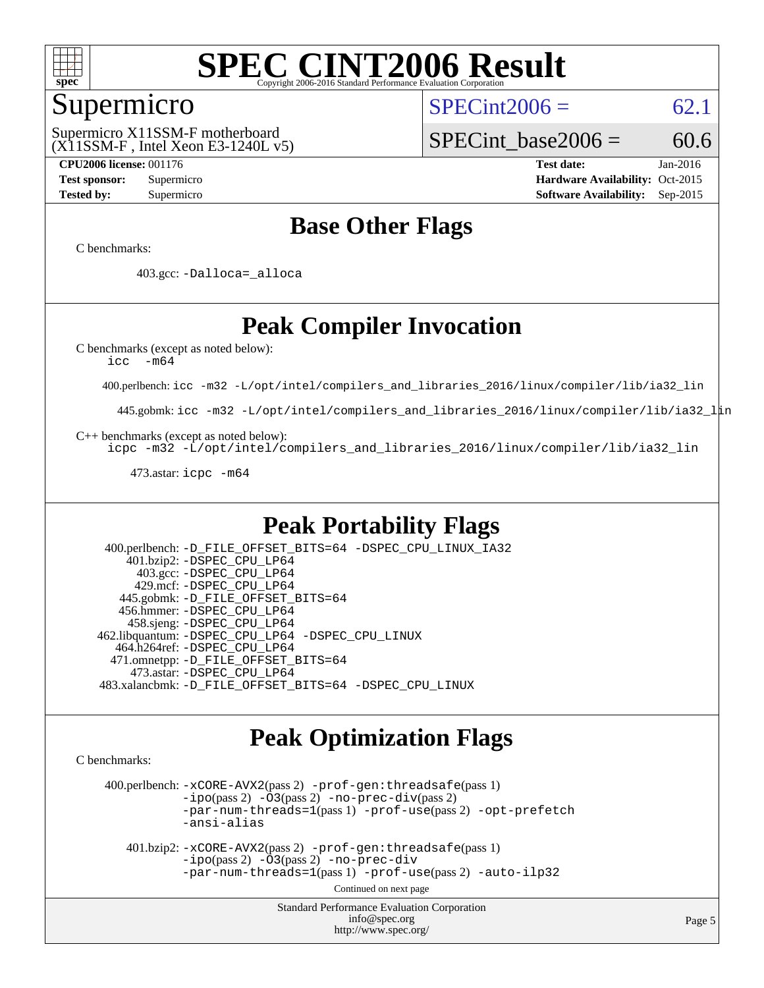

### Supermicro

 $SPECint2006 = 62.1$  $SPECint2006 = 62.1$ 

(X11SSM-F , Intel Xeon E3-1240L v5) Supermicro X11SSM-F motherboard

SPECint base2006 =  $60.6$ 

**[CPU2006 license:](http://www.spec.org/auto/cpu2006/Docs/result-fields.html#CPU2006license)** 001176 **[Test date:](http://www.spec.org/auto/cpu2006/Docs/result-fields.html#Testdate)** Jan-2016 **[Test sponsor:](http://www.spec.org/auto/cpu2006/Docs/result-fields.html#Testsponsor)** Supermicro Supermicro **[Hardware Availability:](http://www.spec.org/auto/cpu2006/Docs/result-fields.html#HardwareAvailability)** Oct-2015 **[Tested by:](http://www.spec.org/auto/cpu2006/Docs/result-fields.html#Testedby)** Supermicro **Supermicro [Software Availability:](http://www.spec.org/auto/cpu2006/Docs/result-fields.html#SoftwareAvailability)** Sep-2015

## **[Base Other Flags](http://www.spec.org/auto/cpu2006/Docs/result-fields.html#BaseOtherFlags)**

[C benchmarks](http://www.spec.org/auto/cpu2006/Docs/result-fields.html#Cbenchmarks):

403.gcc: [-Dalloca=\\_alloca](http://www.spec.org/cpu2006/results/res2016q1/cpu2006-20160106-38564.flags.html#b403.gcc_baseEXTRA_CFLAGS_Dalloca_be3056838c12de2578596ca5467af7f3)

## **[Peak Compiler Invocation](http://www.spec.org/auto/cpu2006/Docs/result-fields.html#PeakCompilerInvocation)**

[C benchmarks \(except as noted below\)](http://www.spec.org/auto/cpu2006/Docs/result-fields.html#Cbenchmarksexceptasnotedbelow):

[icc -m64](http://www.spec.org/cpu2006/results/res2016q1/cpu2006-20160106-38564.flags.html#user_CCpeak_intel_icc_64bit_f346026e86af2a669e726fe758c88044)

400.perlbench: [icc -m32 -L/opt/intel/compilers\\_and\\_libraries\\_2016/linux/compiler/lib/ia32\\_lin](http://www.spec.org/cpu2006/results/res2016q1/cpu2006-20160106-38564.flags.html#user_peakCCLD400_perlbench_intel_icc_e10256ba5924b668798078a321b0cb3f)

445.gobmk: [icc -m32 -L/opt/intel/compilers\\_and\\_libraries\\_2016/linux/compiler/lib/ia32\\_lin](http://www.spec.org/cpu2006/results/res2016q1/cpu2006-20160106-38564.flags.html#user_peakCCLD445_gobmk_intel_icc_e10256ba5924b668798078a321b0cb3f)

[C++ benchmarks \(except as noted below\):](http://www.spec.org/auto/cpu2006/Docs/result-fields.html#CXXbenchmarksexceptasnotedbelow)

[icpc -m32 -L/opt/intel/compilers\\_and\\_libraries\\_2016/linux/compiler/lib/ia32\\_lin](http://www.spec.org/cpu2006/results/res2016q1/cpu2006-20160106-38564.flags.html#user_CXXpeak_intel_icpc_b4f50a394bdb4597aa5879c16bc3f5c5)

473.astar: [icpc -m64](http://www.spec.org/cpu2006/results/res2016q1/cpu2006-20160106-38564.flags.html#user_peakCXXLD473_astar_intel_icpc_64bit_fc66a5337ce925472a5c54ad6a0de310)

### **[Peak Portability Flags](http://www.spec.org/auto/cpu2006/Docs/result-fields.html#PeakPortabilityFlags)**

 400.perlbench: [-D\\_FILE\\_OFFSET\\_BITS=64](http://www.spec.org/cpu2006/results/res2016q1/cpu2006-20160106-38564.flags.html#user_peakPORTABILITY400_perlbench_file_offset_bits_64_438cf9856305ebd76870a2c6dc2689ab) [-DSPEC\\_CPU\\_LINUX\\_IA32](http://www.spec.org/cpu2006/results/res2016q1/cpu2006-20160106-38564.flags.html#b400.perlbench_peakCPORTABILITY_DSPEC_CPU_LINUX_IA32) 401.bzip2: [-DSPEC\\_CPU\\_LP64](http://www.spec.org/cpu2006/results/res2016q1/cpu2006-20160106-38564.flags.html#suite_peakPORTABILITY401_bzip2_DSPEC_CPU_LP64) 403.gcc: [-DSPEC\\_CPU\\_LP64](http://www.spec.org/cpu2006/results/res2016q1/cpu2006-20160106-38564.flags.html#suite_peakPORTABILITY403_gcc_DSPEC_CPU_LP64) 429.mcf: [-DSPEC\\_CPU\\_LP64](http://www.spec.org/cpu2006/results/res2016q1/cpu2006-20160106-38564.flags.html#suite_peakPORTABILITY429_mcf_DSPEC_CPU_LP64) 445.gobmk: [-D\\_FILE\\_OFFSET\\_BITS=64](http://www.spec.org/cpu2006/results/res2016q1/cpu2006-20160106-38564.flags.html#user_peakPORTABILITY445_gobmk_file_offset_bits_64_438cf9856305ebd76870a2c6dc2689ab) 456.hmmer: [-DSPEC\\_CPU\\_LP64](http://www.spec.org/cpu2006/results/res2016q1/cpu2006-20160106-38564.flags.html#suite_peakPORTABILITY456_hmmer_DSPEC_CPU_LP64) 458.sjeng: [-DSPEC\\_CPU\\_LP64](http://www.spec.org/cpu2006/results/res2016q1/cpu2006-20160106-38564.flags.html#suite_peakPORTABILITY458_sjeng_DSPEC_CPU_LP64) 462.libquantum: [-DSPEC\\_CPU\\_LP64](http://www.spec.org/cpu2006/results/res2016q1/cpu2006-20160106-38564.flags.html#suite_peakPORTABILITY462_libquantum_DSPEC_CPU_LP64) [-DSPEC\\_CPU\\_LINUX](http://www.spec.org/cpu2006/results/res2016q1/cpu2006-20160106-38564.flags.html#b462.libquantum_peakCPORTABILITY_DSPEC_CPU_LINUX) 464.h264ref: [-DSPEC\\_CPU\\_LP64](http://www.spec.org/cpu2006/results/res2016q1/cpu2006-20160106-38564.flags.html#suite_peakPORTABILITY464_h264ref_DSPEC_CPU_LP64) 471.omnetpp: [-D\\_FILE\\_OFFSET\\_BITS=64](http://www.spec.org/cpu2006/results/res2016q1/cpu2006-20160106-38564.flags.html#user_peakPORTABILITY471_omnetpp_file_offset_bits_64_438cf9856305ebd76870a2c6dc2689ab) 473.astar: [-DSPEC\\_CPU\\_LP64](http://www.spec.org/cpu2006/results/res2016q1/cpu2006-20160106-38564.flags.html#suite_peakPORTABILITY473_astar_DSPEC_CPU_LP64) 483.xalancbmk: [-D\\_FILE\\_OFFSET\\_BITS=64](http://www.spec.org/cpu2006/results/res2016q1/cpu2006-20160106-38564.flags.html#user_peakPORTABILITY483_xalancbmk_file_offset_bits_64_438cf9856305ebd76870a2c6dc2689ab) [-DSPEC\\_CPU\\_LINUX](http://www.spec.org/cpu2006/results/res2016q1/cpu2006-20160106-38564.flags.html#b483.xalancbmk_peakCXXPORTABILITY_DSPEC_CPU_LINUX)

### **[Peak Optimization Flags](http://www.spec.org/auto/cpu2006/Docs/result-fields.html#PeakOptimizationFlags)**

[C benchmarks](http://www.spec.org/auto/cpu2006/Docs/result-fields.html#Cbenchmarks):

 400.perlbench: [-xCORE-AVX2](http://www.spec.org/cpu2006/results/res2016q1/cpu2006-20160106-38564.flags.html#user_peakPASS2_CFLAGSPASS2_LDCFLAGS400_perlbench_f-xAVX2_5f5fc0cbe2c9f62c816d3e45806c70d7)(pass 2) [-prof-gen:threadsafe](http://www.spec.org/cpu2006/results/res2016q1/cpu2006-20160106-38564.flags.html#user_peakPASS1_CFLAGSPASS1_LDCFLAGS400_perlbench_prof_gen_21a26eb79f378b550acd7bec9fe4467a)(pass 1)  $-i\text{po}(pass 2) -\tilde{O}3(pass 2)$  [-no-prec-div](http://www.spec.org/cpu2006/results/res2016q1/cpu2006-20160106-38564.flags.html#user_peakPASS2_CFLAGSPASS2_LDCFLAGS400_perlbench_f-no-prec-div)(pass 2) [-par-num-threads=1](http://www.spec.org/cpu2006/results/res2016q1/cpu2006-20160106-38564.flags.html#user_peakPASS1_CFLAGSPASS1_LDCFLAGS400_perlbench_par_num_threads_786a6ff141b4e9e90432e998842df6c2)(pass 1) [-prof-use](http://www.spec.org/cpu2006/results/res2016q1/cpu2006-20160106-38564.flags.html#user_peakPASS2_CFLAGSPASS2_LDCFLAGS400_perlbench_prof_use_bccf7792157ff70d64e32fe3e1250b55)(pass 2) [-opt-prefetch](http://www.spec.org/cpu2006/results/res2016q1/cpu2006-20160106-38564.flags.html#user_peakCOPTIMIZE400_perlbench_f-opt-prefetch) [-ansi-alias](http://www.spec.org/cpu2006/results/res2016q1/cpu2006-20160106-38564.flags.html#user_peakCOPTIMIZE400_perlbench_f-ansi-alias)

 401.bzip2: [-xCORE-AVX2](http://www.spec.org/cpu2006/results/res2016q1/cpu2006-20160106-38564.flags.html#user_peakPASS2_CFLAGSPASS2_LDCFLAGS401_bzip2_f-xAVX2_5f5fc0cbe2c9f62c816d3e45806c70d7)(pass 2) [-prof-gen:threadsafe](http://www.spec.org/cpu2006/results/res2016q1/cpu2006-20160106-38564.flags.html#user_peakPASS1_CFLAGSPASS1_LDCFLAGS401_bzip2_prof_gen_21a26eb79f378b550acd7bec9fe4467a)(pass 1)  $-i\text{po}(pass 2) -\overline{O}3(pass 2)$  [-no-prec-div](http://www.spec.org/cpu2006/results/res2016q1/cpu2006-20160106-38564.flags.html#user_peakCOPTIMIZEPASS2_CFLAGSPASS2_LDCFLAGS401_bzip2_f-no-prec-div) [-par-num-threads=1](http://www.spec.org/cpu2006/results/res2016q1/cpu2006-20160106-38564.flags.html#user_peakPASS1_CFLAGSPASS1_LDCFLAGS401_bzip2_par_num_threads_786a6ff141b4e9e90432e998842df6c2)(pass 1) [-prof-use](http://www.spec.org/cpu2006/results/res2016q1/cpu2006-20160106-38564.flags.html#user_peakPASS2_CFLAGSPASS2_LDCFLAGS401_bzip2_prof_use_bccf7792157ff70d64e32fe3e1250b55)(pass 2) [-auto-ilp32](http://www.spec.org/cpu2006/results/res2016q1/cpu2006-20160106-38564.flags.html#user_peakCOPTIMIZE401_bzip2_f-auto-ilp32)

Continued on next page

Standard Performance Evaluation Corporation [info@spec.org](mailto:info@spec.org) <http://www.spec.org/>

Page 5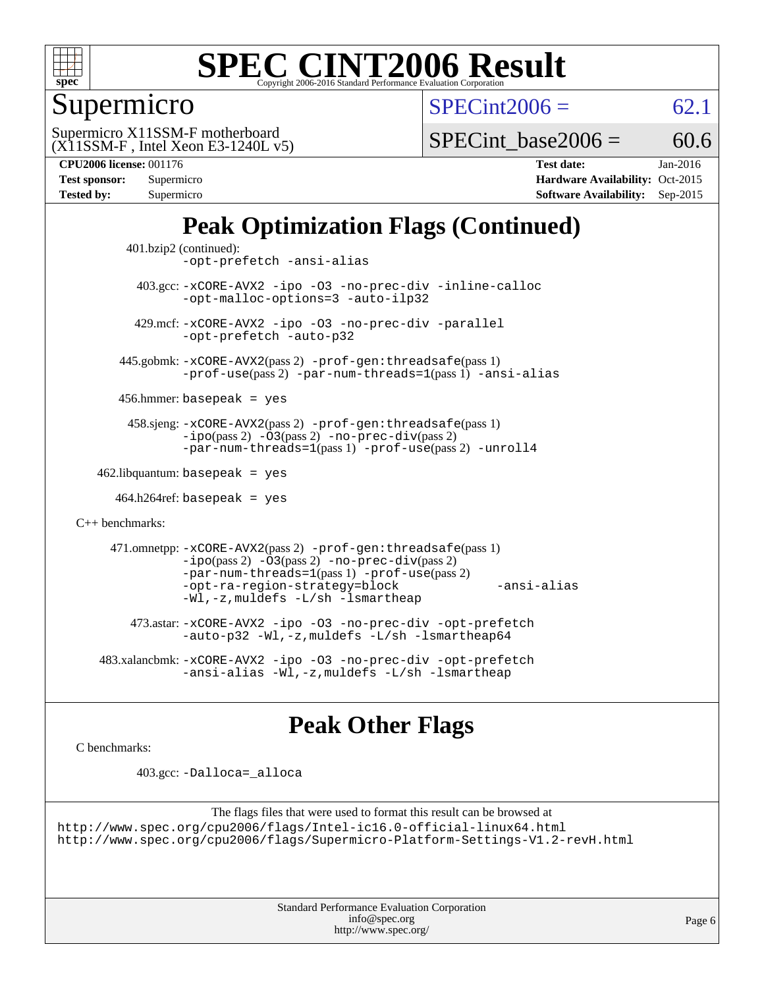

Supermicro

 $SPECint2006 = 62.1$  $SPECint2006 = 62.1$ 

(X11SSM-F , Intel Xeon E3-1240L v5) Supermicro X11SSM-F motherboard

SPECint base2006 =  $60.6$ 

**[CPU2006 license:](http://www.spec.org/auto/cpu2006/Docs/result-fields.html#CPU2006license)** 001176 **[Test date:](http://www.spec.org/auto/cpu2006/Docs/result-fields.html#Testdate)** Jan-2016

| Test sponsor:     | Supermicro |
|-------------------|------------|
| <b>Tested by:</b> | Supermicro |
|                   |            |

**[Hardware Availability:](http://www.spec.org/auto/cpu2006/Docs/result-fields.html#HardwareAvailability)** Oct-2015 **[Software Availability:](http://www.spec.org/auto/cpu2006/Docs/result-fields.html#SoftwareAvailability)** Sep-2015

## **[Peak Optimization Flags \(Continued\)](http://www.spec.org/auto/cpu2006/Docs/result-fields.html#PeakOptimizationFlags)**

```
 401.bzip2 (continued):
                -opt-prefetch -ansi-alias
          403.gcc: -xCORE-AVX2 -ipo -O3 -no-prec-div -inline-calloc
                -opt-malloc-options=3 -auto-ilp32
         429.mcf: -xCORE-AVX2 -ipo -O3 -no-prec-div -parallel
                -opt-prefetch -auto-p32
       445.gobmk: -xCORE-AVX2(pass 2) -prof-gen:threadsafe(pass 1)
                -prof-use(pass 2) -par-num-threads=1(pass 1) -ansi-alias
       456.hmmer: basepeak = yes
        458.sjeng: -xCORE-AVX2(pass 2) -prof-gen:threadsafe(pass 1)
                -i\text{po}(pass 2) -\tilde{O}3(pass 2)-no-prec-div(pass 2)
                -par-num-threads=1(pass 1) -prof-use(pass 2) -unroll4
   462.libquantum: basepeak = yes
     464.h264ref: basepeak = yes
C++ benchmarks: 
      471.omnetpp: -xCORE-AVX2(pass 2) -prof-gen:threadsafe(pass 1)
                -i\text{po}(pass 2) -\overline{O}3(pass 2) -no-\overline{prec}\-div(pass 2)-par-num-threads=1(pass 1) -prof-use(pass 2)
                -opt-ra-region-strategy=block -ansi-alias
                -Wl,-z,muldefs -L/sh -lsmartheap
         473.astar: -xCORE-AVX2 -ipo -O3 -no-prec-div -opt-prefetch
                -auto-p32 -Wl,-z,muldefs -L/sh -lsmartheap64
    483.xalancbmk: -xCORE-AVX2 -ipo -O3 -no-prec-div -opt-prefetch
                -ansi-alias -Wl,-z,muldefs -L/sh -lsmartheap
```
## **[Peak Other Flags](http://www.spec.org/auto/cpu2006/Docs/result-fields.html#PeakOtherFlags)**

[C benchmarks](http://www.spec.org/auto/cpu2006/Docs/result-fields.html#Cbenchmarks):

403.gcc: [-Dalloca=\\_alloca](http://www.spec.org/cpu2006/results/res2016q1/cpu2006-20160106-38564.flags.html#b403.gcc_peakEXTRA_CFLAGS_Dalloca_be3056838c12de2578596ca5467af7f3)

```
The flags files that were used to format this result can be browsed at
http://www.spec.org/cpu2006/flags/Intel-ic16.0-official-linux64.html
http://www.spec.org/cpu2006/flags/Supermicro-Platform-Settings-V1.2-revH.html
```
Standard Performance Evaluation Corporation [info@spec.org](mailto:info@spec.org) <http://www.spec.org/>